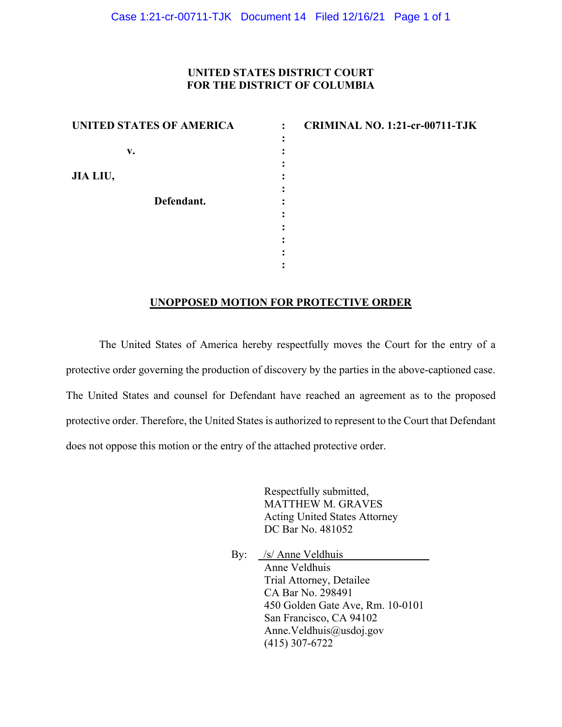#### **UNITED STATES DISTRICT COURT FOR THE DISTRICT OF COLUMBIA**

| UNITED STATES OF AMERICA |  |
|--------------------------|--|
|                          |  |
| v.                       |  |
|                          |  |
| JIA LIU,                 |  |
|                          |  |
| Defendant.               |  |
|                          |  |
|                          |  |
|                          |  |
|                          |  |
|                          |  |

**CRIMINAL NO. 1:21-cr-00711-TJK** 

# **UNOPPOSED MOTION FOR PROTECTIVE ORDER**

The United States of America hereby respectfully moves the Court for the entry of a protective order governing the production of discovery by the parties in the above-captioned case. The United States and counsel for Defendant have reached an agreement as to the proposed protective order. Therefore, the United States is authorized to represent to the Court that Defendant does not oppose this motion or the entry of the attached protective order.

> Respectfully submitted, MATTHEW M. GRAVES Acting United States Attorney DC Bar No. 481052

By: /s/ Anne Veldhuis Anne Veldhuis Trial Attorney, Detailee CA Bar No. 298491 450 Golden Gate Ave, Rm. 10-0101 San Francisco, CA 94102 Anne.Veldhuis@usdoj.gov (415) 307-6722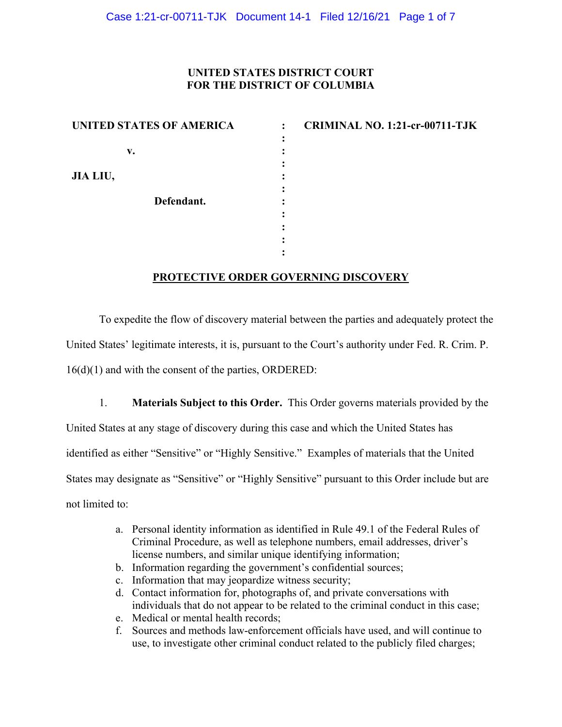### **UNITED STATES DISTRICT COURT FOR THE DISTRICT OF COLUMBIA**

| UNITED STATES OF AMERICA |  |
|--------------------------|--|
|                          |  |
| v.                       |  |
|                          |  |
| JIA LIU,                 |  |
| Defendant.               |  |
|                          |  |
|                          |  |
|                          |  |
|                          |  |

**CRIMINAL NO. 1:21-cr-00711-TJK** 

# **PROTECTIVE ORDER GOVERNING DISCOVERY**

To expedite the flow of discovery material between the parties and adequately protect the United States' legitimate interests, it is, pursuant to the Court's authority under Fed. R. Crim. P. 16(d)(1) and with the consent of the parties, ORDERED:

1. **Materials Subject to this Order.** This Order governs materials provided by the United States at any stage of discovery during this case and which the United States has identified as either "Sensitive" or "Highly Sensitive." Examples of materials that the United States may designate as "Sensitive" or "Highly Sensitive" pursuant to this Order include but are not limited to:

- a. Personal identity information as identified in Rule 49.1 of the Federal Rules of Criminal Procedure, as well as telephone numbers, email addresses, driver's license numbers, and similar unique identifying information;
- b. Information regarding the government's confidential sources;
- c. Information that may jeopardize witness security;
- d. Contact information for, photographs of, and private conversations with individuals that do not appear to be related to the criminal conduct in this case;
- e. Medical or mental health records;
- f. Sources and methods law-enforcement officials have used, and will continue to use, to investigate other criminal conduct related to the publicly filed charges;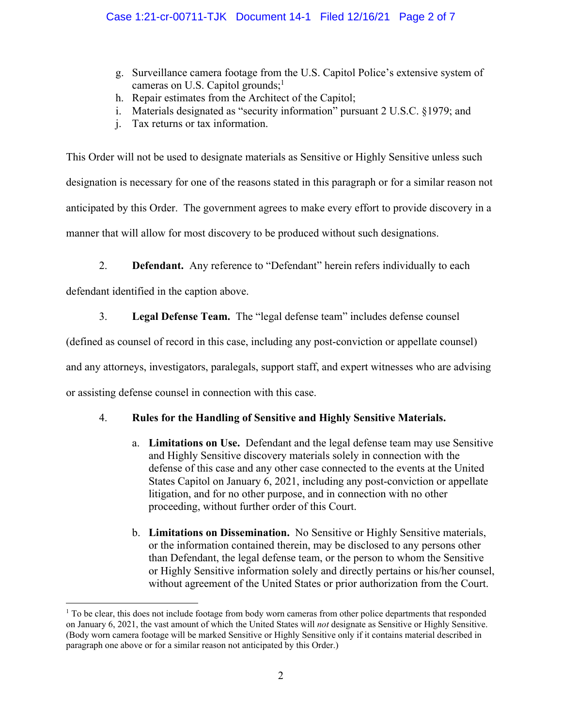- g. Surveillance camera footage from the U.S. Capitol Police's extensive system of cameras on U.S. Capitol grounds; $<sup>1</sup>$ </sup>
- h. Repair estimates from the Architect of the Capitol;
- i. Materials designated as "security information" pursuant 2 U.S.C. §1979; and
- j. Tax returns or tax information.

This Order will not be used to designate materials as Sensitive or Highly Sensitive unless such designation is necessary for one of the reasons stated in this paragraph or for a similar reason not anticipated by this Order. The government agrees to make every effort to provide discovery in a manner that will allow for most discovery to be produced without such designations.

2. **Defendant.** Any reference to "Defendant" herein refers individually to each

defendant identified in the caption above.

### 3. **Legal Defense Team.** The "legal defense team" includes defense counsel

(defined as counsel of record in this case, including any post-conviction or appellate counsel)

and any attorneys, investigators, paralegals, support staff, and expert witnesses who are advising

or assisting defense counsel in connection with this case.

# 4. **Rules for the Handling of Sensitive and Highly Sensitive Materials.**

- a. **Limitations on Use.** Defendant and the legal defense team may use Sensitive and Highly Sensitive discovery materials solely in connection with the defense of this case and any other case connected to the events at the United States Capitol on January 6, 2021, including any post-conviction or appellate litigation, and for no other purpose, and in connection with no other proceeding, without further order of this Court.
- b. **Limitations on Dissemination.** No Sensitive or Highly Sensitive materials, or the information contained therein, may be disclosed to any persons other than Defendant, the legal defense team, or the person to whom the Sensitive or Highly Sensitive information solely and directly pertains or his/her counsel, without agreement of the United States or prior authorization from the Court.

<sup>&</sup>lt;sup>1</sup> To be clear, this does not include footage from body worn cameras from other police departments that responded on January 6, 2021, the vast amount of which the United States will *not* designate as Sensitive or Highly Sensitive. (Body worn camera footage will be marked Sensitive or Highly Sensitive only if it contains material described in paragraph one above or for a similar reason not anticipated by this Order.)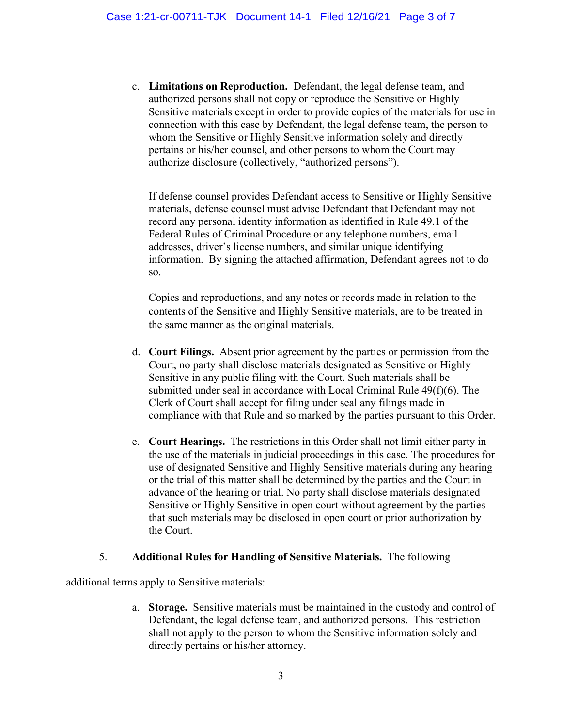c. **Limitations on Reproduction.** Defendant, the legal defense team, and authorized persons shall not copy or reproduce the Sensitive or Highly Sensitive materials except in order to provide copies of the materials for use in connection with this case by Defendant, the legal defense team, the person to whom the Sensitive or Highly Sensitive information solely and directly pertains or his/her counsel, and other persons to whom the Court may authorize disclosure (collectively, "authorized persons").

If defense counsel provides Defendant access to Sensitive or Highly Sensitive materials, defense counsel must advise Defendant that Defendant may not record any personal identity information as identified in Rule 49.1 of the Federal Rules of Criminal Procedure or any telephone numbers, email addresses, driver's license numbers, and similar unique identifying information. By signing the attached affirmation, Defendant agrees not to do so.

Copies and reproductions, and any notes or records made in relation to the contents of the Sensitive and Highly Sensitive materials, are to be treated in the same manner as the original materials.

- d. **Court Filings.** Absent prior agreement by the parties or permission from the Court, no party shall disclose materials designated as Sensitive or Highly Sensitive in any public filing with the Court. Such materials shall be submitted under seal in accordance with Local Criminal Rule 49(f)(6). The Clerk of Court shall accept for filing under seal any filings made in compliance with that Rule and so marked by the parties pursuant to this Order.
- e. **Court Hearings.** The restrictions in this Order shall not limit either party in the use of the materials in judicial proceedings in this case. The procedures for use of designated Sensitive and Highly Sensitive materials during any hearing or the trial of this matter shall be determined by the parties and the Court in advance of the hearing or trial. No party shall disclose materials designated Sensitive or Highly Sensitive in open court without agreement by the parties that such materials may be disclosed in open court or prior authorization by the Court.

### 5. **Additional Rules for Handling of Sensitive Materials.** The following

additional terms apply to Sensitive materials:

a. **Storage.** Sensitive materials must be maintained in the custody and control of Defendant, the legal defense team, and authorized persons. This restriction shall not apply to the person to whom the Sensitive information solely and directly pertains or his/her attorney.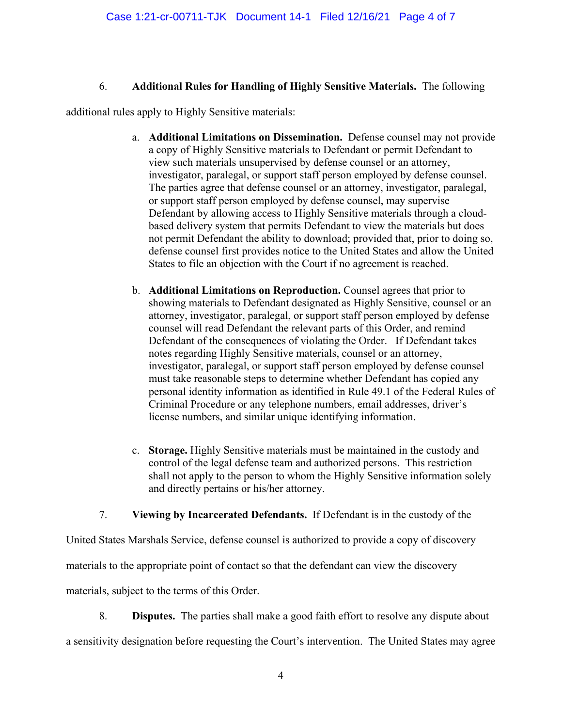# 6. **Additional Rules for Handling of Highly Sensitive Materials.** The following

additional rules apply to Highly Sensitive materials:

- a. **Additional Limitations on Dissemination.** Defense counsel may not provide a copy of Highly Sensitive materials to Defendant or permit Defendant to view such materials unsupervised by defense counsel or an attorney, investigator, paralegal, or support staff person employed by defense counsel. The parties agree that defense counsel or an attorney, investigator, paralegal, or support staff person employed by defense counsel, may supervise Defendant by allowing access to Highly Sensitive materials through a cloudbased delivery system that permits Defendant to view the materials but does not permit Defendant the ability to download; provided that, prior to doing so, defense counsel first provides notice to the United States and allow the United States to file an objection with the Court if no agreement is reached.
- b. **Additional Limitations on Reproduction.** Counsel agrees that prior to showing materials to Defendant designated as Highly Sensitive, counsel or an attorney, investigator, paralegal, or support staff person employed by defense counsel will read Defendant the relevant parts of this Order, and remind Defendant of the consequences of violating the Order. If Defendant takes notes regarding Highly Sensitive materials, counsel or an attorney, investigator, paralegal, or support staff person employed by defense counsel must take reasonable steps to determine whether Defendant has copied any personal identity information as identified in Rule 49.1 of the Federal Rules of Criminal Procedure or any telephone numbers, email addresses, driver's license numbers, and similar unique identifying information.
- c. **Storage.** Highly Sensitive materials must be maintained in the custody and control of the legal defense team and authorized persons. This restriction shall not apply to the person to whom the Highly Sensitive information solely and directly pertains or his/her attorney.

7. **Viewing by Incarcerated Defendants.** If Defendant is in the custody of the

United States Marshals Service, defense counsel is authorized to provide a copy of discovery

materials to the appropriate point of contact so that the defendant can view the discovery

materials, subject to the terms of this Order.

8. **Disputes.** The parties shall make a good faith effort to resolve any dispute about

a sensitivity designation before requesting the Court's intervention. The United States may agree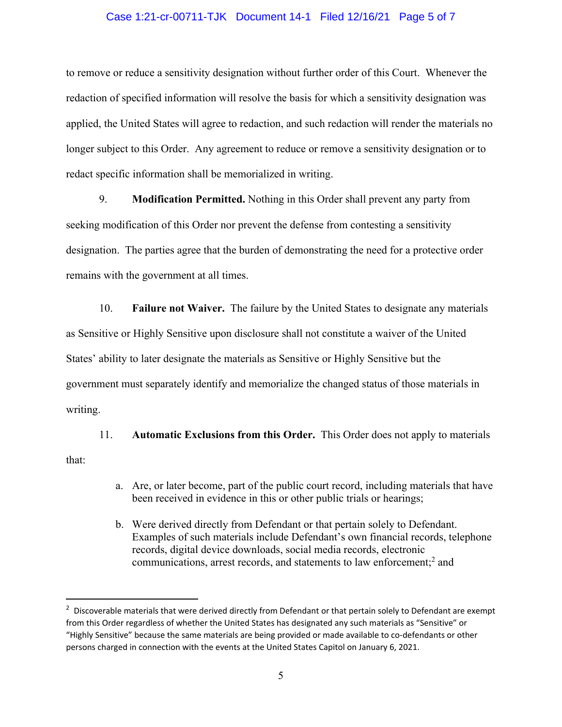#### Case 1:21-cr-00711-TJK Document 14-1 Filed 12/16/21 Page 5 of 7

to remove or reduce a sensitivity designation without further order of this Court. Whenever the redaction of specified information will resolve the basis for which a sensitivity designation was applied, the United States will agree to redaction, and such redaction will render the materials no longer subject to this Order. Any agreement to reduce or remove a sensitivity designation or to redact specific information shall be memorialized in writing.

9. **Modification Permitted.** Nothing in this Order shall prevent any party from seeking modification of this Order nor prevent the defense from contesting a sensitivity designation. The parties agree that the burden of demonstrating the need for a protective order remains with the government at all times.

10. **Failure not Waiver.** The failure by the United States to designate any materials as Sensitive or Highly Sensitive upon disclosure shall not constitute a waiver of the United States' ability to later designate the materials as Sensitive or Highly Sensitive but the government must separately identify and memorialize the changed status of those materials in writing.

11. **Automatic Exclusions from this Order.** This Order does not apply to materials that:

- a. Are, or later become, part of the public court record, including materials that have been received in evidence in this or other public trials or hearings;
- b. Were derived directly from Defendant or that pertain solely to Defendant. Examples of such materials include Defendant's own financial records, telephone records, digital device downloads, social media records, electronic communications, arrest records, and statements to law enforcement;<sup>2</sup> and

<sup>&</sup>lt;sup>2</sup> Discoverable materials that were derived directly from Defendant or that pertain solely to Defendant are exempt from this Order regardless of whether the United States has designated any such materials as "Sensitive" or "Highly Sensitive" because the same materials are being provided or made available to co‐defendants or other persons charged in connection with the events at the United States Capitol on January 6, 2021.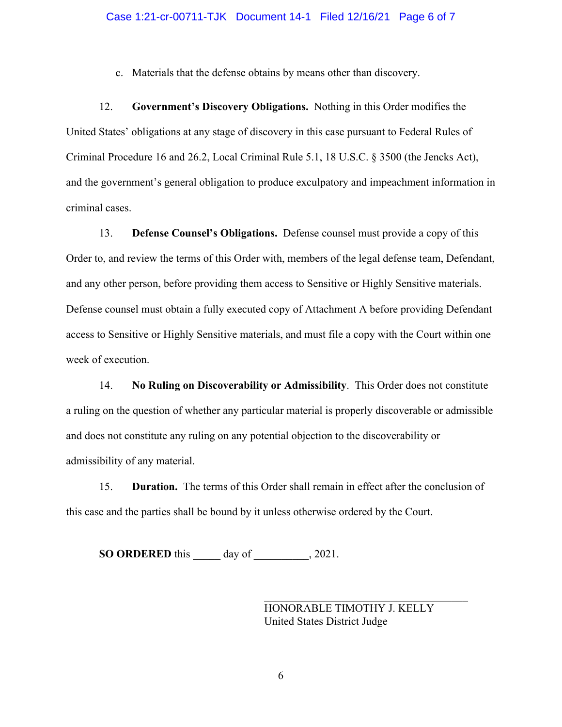c. Materials that the defense obtains by means other than discovery.

12. **Government's Discovery Obligations.** Nothing in this Order modifies the United States' obligations at any stage of discovery in this case pursuant to Federal Rules of Criminal Procedure 16 and 26.2, Local Criminal Rule 5.1, 18 U.S.C. § 3500 (the Jencks Act), and the government's general obligation to produce exculpatory and impeachment information in criminal cases.

13. **Defense Counsel's Obligations.** Defense counsel must provide a copy of this Order to, and review the terms of this Order with, members of the legal defense team, Defendant, and any other person, before providing them access to Sensitive or Highly Sensitive materials. Defense counsel must obtain a fully executed copy of Attachment A before providing Defendant access to Sensitive or Highly Sensitive materials, and must file a copy with the Court within one week of execution.

14. **No Ruling on Discoverability or Admissibility**. This Order does not constitute a ruling on the question of whether any particular material is properly discoverable or admissible and does not constitute any ruling on any potential objection to the discoverability or admissibility of any material.

15. **Duration.** The terms of this Order shall remain in effect after the conclusion of this case and the parties shall be bound by it unless otherwise ordered by the Court.

**SO ORDERED** this \_\_\_\_\_ day of \_\_\_\_\_\_\_\_\_\_, 2021.

HONORABLE TIMOTHY J. KELLY United States District Judge